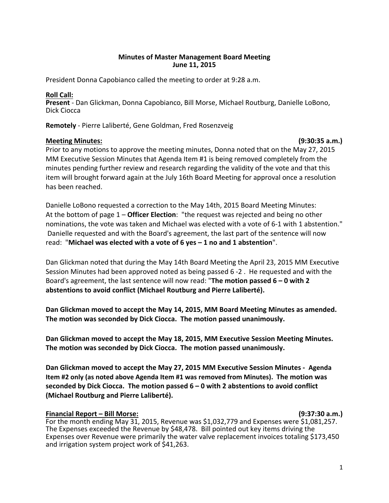# **Minutes of Master Management Board Meeting June 11, 2015**

President Donna Capobianco called the meeting to order at 9:28 a.m.

# **Roll Call:**

**Present** - Dan Glickman, Donna Capobianco, Bill Morse, Michael Routburg, Danielle LoBono, Dick Ciocca

**Remotely** - Pierre Laliberté, Gene Goldman, Fred Rosenzveig

# **Meeting Minutes: (9:30:35 a.m.)**

Prior to any motions to approve the meeting minutes, Donna noted that on the May 27, 2015 MM Executive Session Minutes that Agenda Item #1 is being removed completely from the minutes pending further review and research regarding the validity of the vote and that this item will brought forward again at the July 16th Board Meeting for approval once a resolution has been reached.

Danielle LoBono requested a correction to the May 14th, 2015 Board Meeting Minutes: At the bottom of page 1 – **Officer Election**: "the request was rejected and being no other nominations, the vote was taken and Michael was elected with a vote of 6-1 with 1 abstention." Danielle requested and with the Board's agreement, the last part of the sentence will now read: "**Michael was elected with a vote of 6 yes – 1 no and 1 abstention**".

Dan Glickman noted that during the May 14th Board Meeting the April 23, 2015 MM Executive Session Minutes had been approved noted as being passed 6 -2 . He requested and with the Board's agreement, the last sentence will now read: "**The motion passed 6 – 0 with 2 abstentions to avoid conflict (Michael Routburg and Pierre Laliberté).** 

**Dan Glickman moved to accept the May 14, 2015, MM Board Meeting Minutes as amended. The motion was seconded by Dick Ciocca. The motion passed unanimously.**

**Dan Glickman moved to accept the May 18, 2015, MM Executive Session Meeting Minutes. The motion was seconded by Dick Ciocca. The motion passed unanimously.**

**Dan Glickman moved to accept the May 27, 2015 MM Executive Session Minutes - Agenda Item #2 only (as noted above Agenda Item #1 was removed from Minutes). The motion was seconded by Dick Ciocca. The motion passed 6 – 0 with 2 abstentions to avoid conflict (Michael Routburg and Pierre Laliberté).** 

# **Financial Report – Bill Morse: (9:37:30 a.m.)**

For the month ending May 31, 2015, Revenue was \$1,032,779 and Expenses were \$1,081,257. The Expenses exceeded the Revenue by \$48,478. Bill pointed out key items driving the Expenses over Revenue were primarily the water valve replacement invoices totaling \$173,450 and irrigation system project work of \$41,263.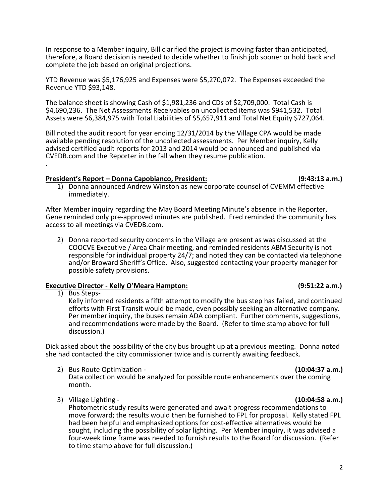In response to a Member inquiry, Bill clarified the project is moving faster than anticipated, therefore, a Board decision is needed to decide whether to finish job sooner or hold back and complete the job based on original projections.

YTD Revenue was \$5,176,925 and Expenses were \$5,270,072. The Expenses exceeded the Revenue YTD \$93,148.

The balance sheet is showing Cash of \$1,981,236 and CDs of \$2,709,000. Total Cash is \$4,690,236. The Net Assessments Receivables on uncollected items was \$941,532. Total Assets were \$6,384,975 with Total Liabilities of \$5,657,911 and Total Net Equity \$727,064.

Bill noted the audit report for year ending 12/31/2014 by the Village CPA would be made available pending resolution of the uncollected assessments. Per Member inquiry, Kelly advised certified audit reports for 2013 and 2014 would be announced and published via CVEDB.com and the Reporter in the fall when they resume publication. .

# **President's Report – Donna Capobianco, President: (9:43:13 a.m.)**

1) Donna announced Andrew Winston as new corporate counsel of CVEMM effective immediately.

After Member inquiry regarding the May Board Meeting Minute's absence in the Reporter, Gene reminded only pre-approved minutes are published. Fred reminded the community has access to all meetings via CVEDB.com.

2) Donna reported security concerns in the Village are present as was discussed at the COOCVE Executive / Area Chair meeting, and reminded residents ABM Security is not responsible for individual property 24/7; and noted they can be contacted via telephone and/or Broward Sheriff's Office. Also, suggested contacting your property manager for possible safety provisions.

# **Executive Director - Kelly O'Meara Hampton: (9:51:22 a.m.)**

1) Bus Steps-Kelly informed residents a fifth attempt to modify the bus step has failed, and continued efforts with First Transit would be made, even possibly seeking an alternative company. Per member inquiry, the buses remain ADA compliant. Further comments, suggestions, and recommendations were made by the Board. (Refer to time stamp above for full discussion.)

Dick asked about the possibility of the city bus brought up at a previous meeting. Donna noted she had contacted the city commissioner twice and is currently awaiting feedback.

- 2) Bus Route Optimization **(10:04:37 a.m.)** Data collection would be analyzed for possible route enhancements over the coming month.
- 3) Village Lighting **(10:04:58 a.m.)**

Photometric study results were generated and await progress recommendations to move forward; the results would then be furnished to FPL for proposal. Kelly stated FPL had been helpful and emphasized options for cost-effective alternatives would be sought, including the possibility of solar lighting. Per Member inquiry, it was advised a four-week time frame was needed to furnish results to the Board for discussion. (Refer to time stamp above for full discussion.)

# 2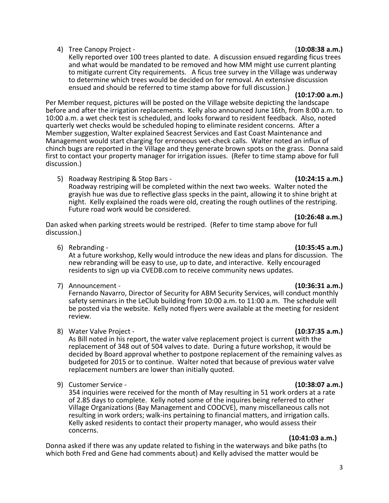# 4) Tree Canopy Project - (**10:08:38 a.m.)**

Kelly reported over 100 trees planted to date. A discussion ensued regarding ficus trees and what would be mandated to be removed and how MM might use current planting to mitigate current City requirements. A ficus tree survey in the Village was underway to determine which trees would be decided on for removal. An extensive discussion ensued and should be referred to time stamp above for full discussion.) **(10:17:00 a.m.)**

Per Member request, pictures will be posted on the Village website depicting the landscape before and after the irrigation replacements. Kelly also announced June 16th, from 8:00 a.m. to 10:00 a.m. a wet check test is scheduled, and looks forward to resident feedback. Also, noted quarterly wet checks would be scheduled hoping to eliminate resident concerns. After a Member suggestion, Walter explained Seacrest Services and East Coast Maintenance and Management would start charging for erroneous wet-check calls. Walter noted an influx of chinch bugs are reported in the Village and they generate brown spots on the grass. Donna said first to contact your property manager for irrigation issues. (Refer to time stamp above for full discussion.)

5) Roadway Restriping & Stop Bars - **(10:24:15 a.m.)** Roadway restriping will be completed within the next two weeks. Walter noted the grayish hue was due to reflective glass specks in the paint, allowing it to shine bright at night. Kelly explained the roads were old, creating the rough outlines of the restriping. Future road work would be considered. **(10:26:48 a.m.)**

Dan asked when parking streets would be restriped. (Refer to time stamp above for full discussion.)

residents to sign up via CVEDB.com to receive community news updates.

6) Rebranding - **(10:35:45 a.m.)**

7) Announcement - **(10:36:31 a.m.)**

Fernando Navarro, Director of Security for ABM Security Services, will conduct monthly safety seminars in the LeClub building from 10:00 a.m. to 11:00 a.m. The schedule will be posted via the website. Kelly noted flyers were available at the meeting for resident review.

8) Water Valve Project - **(10:37:35 a.m.)**

As Bill noted in his report, the water valve replacement project is current with the replacement of 348 out of 504 valves to date. During a future workshop, it would be decided by Board approval whether to postpone replacement of the remaining valves as budgeted for 2015 or to continue. Walter noted that because of previous water valve replacement numbers are lower than initially quoted.

9) Customer Service - **(10:38:07 a.m.)**

354 inquiries were received for the month of May resulting in 51 work orders at a rate of 2.85 days to complete. Kelly noted some of the inquires being referred to other Village Organizations (Bay Management and COOCVE), many miscellaneous calls not resulting in work orders; walk-ins pertaining to financial matters, and irrigation calls.<br>Kelly asked residents to contact their property manager, who would assess their concerns. **(10:41:03 a.m.)**

Donna asked if there was any update related to fishing in the waterways and bike paths (to which both Fred and Gene had comments about) and Kelly advised the matter would be

## At a future workshop, Kelly would introduce the new ideas and plans for discussion. The new rebranding will be easy to use, up to date, and interactive. Kelly encouraged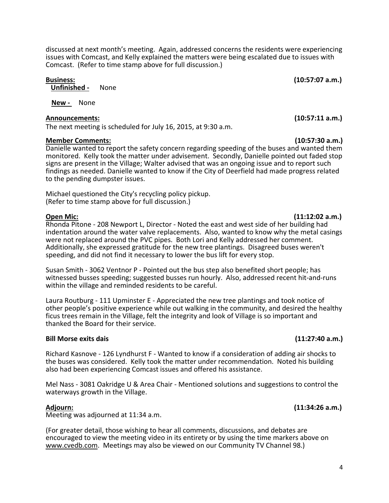discussed at next month's meeting. Again, addressed concerns the residents were experiencing issues with Comcast, and Kelly explained the matters were being escalated due to issues with Comcast. (Refer to time stamp above for full discussion.)

**Unfinished -** None

**New -** None

# **Announcements: (10:57:11 a.m.)**

The next meeting is scheduled for July 16, 2015, at 9:30 a.m.

# **Member Comments: (10:57:30 a.m.)**

Danielle wanted to report the safety concern regarding speeding of the buses and wanted them monitored. Kelly took the matter under advisement. Secondly, Danielle pointed out faded stop signs are present in the Village; Walter advised that was an ongoing issue and to report such findings as needed. Danielle wanted to know if the City of Deerfield had made progress related to the pending dumpster issues.

Michael questioned the City's recycling policy pickup. (Refer to time stamp above for full discussion.)

# **Open Mic: (11:12:02 a.m.)**

Rhonda Pitone - 208 Newport L, Director - Noted the east and west side of her building had indentation around the water valve replacements. Also, wanted to know why the metal casings were not replaced around the PVC pipes. Both Lori and Kelly addressed her comment. Additionally, she expressed gratitude for the new tree plantings. Disagreed buses weren't speeding, and did not find it necessary to lower the bus lift for every stop.

Susan Smith - 3062 Ventnor P - Pointed out the bus step also benefited short people; has witnessed busses speeding; suggested busses run hourly. Also, addressed recent hit-and-runs within the village and reminded residents to be careful.

Laura Routburg - 111 Upminster E - Appreciated the new tree plantings and took notice of other people's positive experience while out walking in the community, and desired the healthy ficus trees remain in the Village, felt the integrity and look of Village is so important and thanked the Board for their service.

# **Bill Morse exits dais (11:27:40 a.m.)**

Richard Kasnove - 126 Lyndhurst F - Wanted to know if a consideration of adding air shocks to the buses was considered. Kelly took the matter under recommendation. Noted his building also had been experiencing Comcast issues and offered his assistance.

Mel Nass - 3081 Oakridge U & Area Chair - Mentioned solutions and suggestions to control the waterways growth in the Village.

# **Adjourn: (11:34:26 a.m.)**

Meeting was adjourned at 11:34 a.m.

(For greater detail, those wishing to hear all comments, discussions, and debates are encouraged to view the meeting video in its entirety or by using the time markers above on [www.cvedb.com.](http://www.cvedb.com/) Meetings may also be viewed on our Community TV Channel 98.)

**Business: (10:57:07 a.m.)**